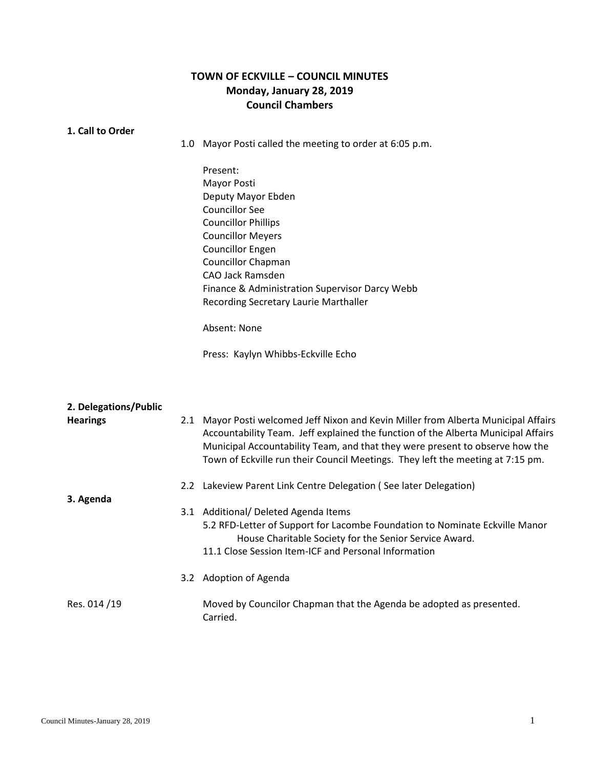## **TOWN OF ECKVILLE – COUNCIL MINUTES Monday, January 28, 2019 Council Chambers**

| 1. Call to Order      |                                                                                                                                                                                                                                                                                                                                            |
|-----------------------|--------------------------------------------------------------------------------------------------------------------------------------------------------------------------------------------------------------------------------------------------------------------------------------------------------------------------------------------|
|                       | 1.0 Mayor Posti called the meeting to order at 6:05 p.m.                                                                                                                                                                                                                                                                                   |
|                       | Present:                                                                                                                                                                                                                                                                                                                                   |
|                       | Mayor Posti                                                                                                                                                                                                                                                                                                                                |
|                       | Deputy Mayor Ebden                                                                                                                                                                                                                                                                                                                         |
|                       | <b>Councillor See</b>                                                                                                                                                                                                                                                                                                                      |
|                       | <b>Councillor Phillips</b>                                                                                                                                                                                                                                                                                                                 |
|                       | <b>Councillor Meyers</b>                                                                                                                                                                                                                                                                                                                   |
|                       | <b>Councillor Engen</b>                                                                                                                                                                                                                                                                                                                    |
|                       | <b>Councillor Chapman</b>                                                                                                                                                                                                                                                                                                                  |
|                       | <b>CAO Jack Ramsden</b>                                                                                                                                                                                                                                                                                                                    |
|                       | Finance & Administration Supervisor Darcy Webb                                                                                                                                                                                                                                                                                             |
|                       | Recording Secretary Laurie Marthaller                                                                                                                                                                                                                                                                                                      |
|                       | Absent: None                                                                                                                                                                                                                                                                                                                               |
|                       | Press: Kaylyn Whibbs-Eckville Echo                                                                                                                                                                                                                                                                                                         |
| 2. Delegations/Public |                                                                                                                                                                                                                                                                                                                                            |
| <b>Hearings</b>       | 2.1 Mayor Posti welcomed Jeff Nixon and Kevin Miller from Alberta Municipal Affairs<br>Accountability Team. Jeff explained the function of the Alberta Municipal Affairs<br>Municipal Accountability Team, and that they were present to observe how the<br>Town of Eckville run their Council Meetings. They left the meeting at 7:15 pm. |
|                       | 2.2 Lakeview Parent Link Centre Delegation (See later Delegation)                                                                                                                                                                                                                                                                          |
| 3. Agenda             |                                                                                                                                                                                                                                                                                                                                            |
|                       | 3.1 Additional/ Deleted Agenda Items                                                                                                                                                                                                                                                                                                       |
|                       | 5.2 RFD-Letter of Support for Lacombe Foundation to Nominate Eckville Manor<br>House Charitable Society for the Senior Service Award.                                                                                                                                                                                                      |
|                       | 11.1 Close Session Item-ICF and Personal Information                                                                                                                                                                                                                                                                                       |
|                       | 3.2 Adoption of Agenda                                                                                                                                                                                                                                                                                                                     |
| Res. 014/19           | Moved by Councilor Chapman that the Agenda be adopted as presented.<br>Carried.                                                                                                                                                                                                                                                            |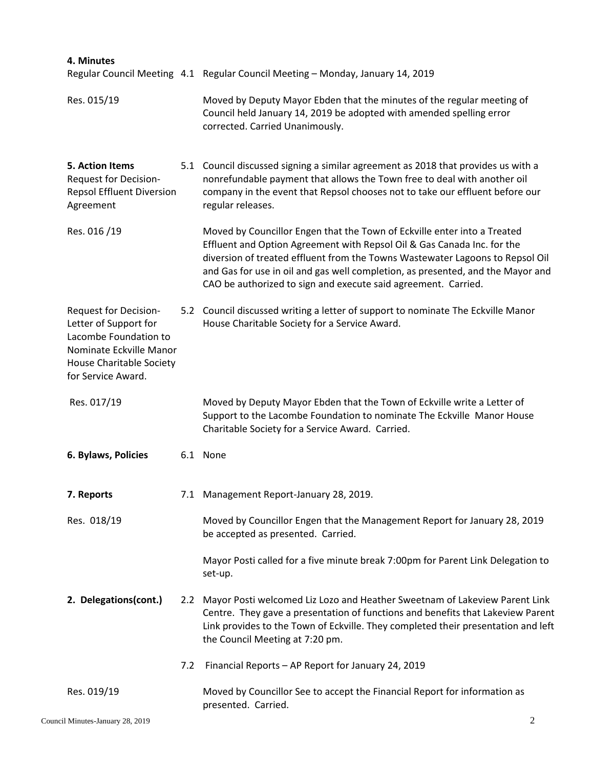| 4. Minutes                                                                                                                                                         |                                                                                                                                                                                                                                                                                                                                                                                           |
|--------------------------------------------------------------------------------------------------------------------------------------------------------------------|-------------------------------------------------------------------------------------------------------------------------------------------------------------------------------------------------------------------------------------------------------------------------------------------------------------------------------------------------------------------------------------------|
|                                                                                                                                                                    | Regular Council Meeting 4.1 Regular Council Meeting - Monday, January 14, 2019                                                                                                                                                                                                                                                                                                            |
| Res. 015/19                                                                                                                                                        | Moved by Deputy Mayor Ebden that the minutes of the regular meeting of<br>Council held January 14, 2019 be adopted with amended spelling error<br>corrected. Carried Unanimously.                                                                                                                                                                                                         |
| 5. Action Items<br><b>Request for Decision-</b><br><b>Repsol Effluent Diversion</b><br>Agreement                                                                   | 5.1 Council discussed signing a similar agreement as 2018 that provides us with a<br>nonrefundable payment that allows the Town free to deal with another oil<br>company in the event that Repsol chooses not to take our effluent before our<br>regular releases.                                                                                                                        |
| Res. 016/19                                                                                                                                                        | Moved by Councillor Engen that the Town of Eckville enter into a Treated<br>Effluent and Option Agreement with Repsol Oil & Gas Canada Inc. for the<br>diversion of treated effluent from the Towns Wastewater Lagoons to Repsol Oil<br>and Gas for use in oil and gas well completion, as presented, and the Mayor and<br>CAO be authorized to sign and execute said agreement. Carried. |
| <b>Request for Decision-</b><br>Letter of Support for<br>Lacombe Foundation to<br>Nominate Eckville Manor<br><b>House Charitable Society</b><br>for Service Award. | 5.2 Council discussed writing a letter of support to nominate The Eckville Manor<br>House Charitable Society for a Service Award.                                                                                                                                                                                                                                                         |
| Res. 017/19                                                                                                                                                        | Moved by Deputy Mayor Ebden that the Town of Eckville write a Letter of<br>Support to the Lacombe Foundation to nominate The Eckville Manor House<br>Charitable Society for a Service Award. Carried.                                                                                                                                                                                     |
| 6. Bylaws, Policies                                                                                                                                                | 6.1 None                                                                                                                                                                                                                                                                                                                                                                                  |
| 7. Reports                                                                                                                                                         | 7.1 Management Report-January 28, 2019.                                                                                                                                                                                                                                                                                                                                                   |
| Res. 018/19                                                                                                                                                        | Moved by Councillor Engen that the Management Report for January 28, 2019<br>be accepted as presented. Carried.                                                                                                                                                                                                                                                                           |
|                                                                                                                                                                    | Mayor Posti called for a five minute break 7:00pm for Parent Link Delegation to<br>set-up.                                                                                                                                                                                                                                                                                                |
| 2. Delegations(cont.)                                                                                                                                              | 2.2 Mayor Posti welcomed Liz Lozo and Heather Sweetnam of Lakeview Parent Link<br>Centre. They gave a presentation of functions and benefits that Lakeview Parent<br>Link provides to the Town of Eckville. They completed their presentation and left<br>the Council Meeting at 7:20 pm.                                                                                                 |
|                                                                                                                                                                    | 7.2 Financial Reports - AP Report for January 24, 2019                                                                                                                                                                                                                                                                                                                                    |
| Res. 019/19                                                                                                                                                        | Moved by Councillor See to accept the Financial Report for information as<br>presented. Carried.                                                                                                                                                                                                                                                                                          |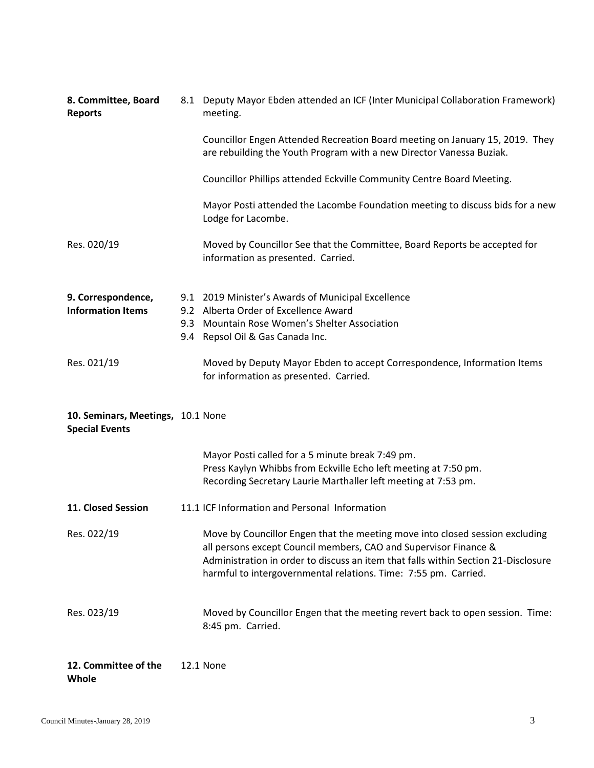| 8. Committee, Board<br><b>Reports</b>                      | 8.1 Deputy Mayor Ebden attended an ICF (Inter Municipal Collaboration Framework)<br>meeting.                                                                                                                                                                                                              |
|------------------------------------------------------------|-----------------------------------------------------------------------------------------------------------------------------------------------------------------------------------------------------------------------------------------------------------------------------------------------------------|
|                                                            | Councillor Engen Attended Recreation Board meeting on January 15, 2019. They<br>are rebuilding the Youth Program with a new Director Vanessa Buziak.                                                                                                                                                      |
|                                                            | Councillor Phillips attended Eckville Community Centre Board Meeting.                                                                                                                                                                                                                                     |
|                                                            | Mayor Posti attended the Lacombe Foundation meeting to discuss bids for a new<br>Lodge for Lacombe.                                                                                                                                                                                                       |
| Res. 020/19                                                | Moved by Councillor See that the Committee, Board Reports be accepted for<br>information as presented. Carried.                                                                                                                                                                                           |
| 9. Correspondence,<br><b>Information Items</b>             | 9.1 2019 Minister's Awards of Municipal Excellence<br>9.2 Alberta Order of Excellence Award                                                                                                                                                                                                               |
|                                                            | 9.3 Mountain Rose Women's Shelter Association                                                                                                                                                                                                                                                             |
|                                                            | 9.4 Repsol Oil & Gas Canada Inc.                                                                                                                                                                                                                                                                          |
| Res. 021/19                                                | Moved by Deputy Mayor Ebden to accept Correspondence, Information Items<br>for information as presented. Carried.                                                                                                                                                                                         |
| 10. Seminars, Meetings, 10.1 None<br><b>Special Events</b> |                                                                                                                                                                                                                                                                                                           |
|                                                            | Mayor Posti called for a 5 minute break 7:49 pm.<br>Press Kaylyn Whibbs from Eckville Echo left meeting at 7:50 pm.<br>Recording Secretary Laurie Marthaller left meeting at 7:53 pm.                                                                                                                     |
| 11. Closed Session                                         | 11.1 ICF Information and Personal Information                                                                                                                                                                                                                                                             |
| Res. 022/19                                                | Move by Councillor Engen that the meeting move into closed session excluding<br>all persons except Council members, CAO and Supervisor Finance &<br>Administration in order to discuss an item that falls within Section 21-Disclosure<br>harmful to intergovernmental relations. Time: 7:55 pm. Carried. |
| Res. 023/19                                                | Moved by Councillor Engen that the meeting revert back to open session. Time:<br>8:45 pm. Carried.                                                                                                                                                                                                        |

**12. Committee of the Whole** 12.1 None